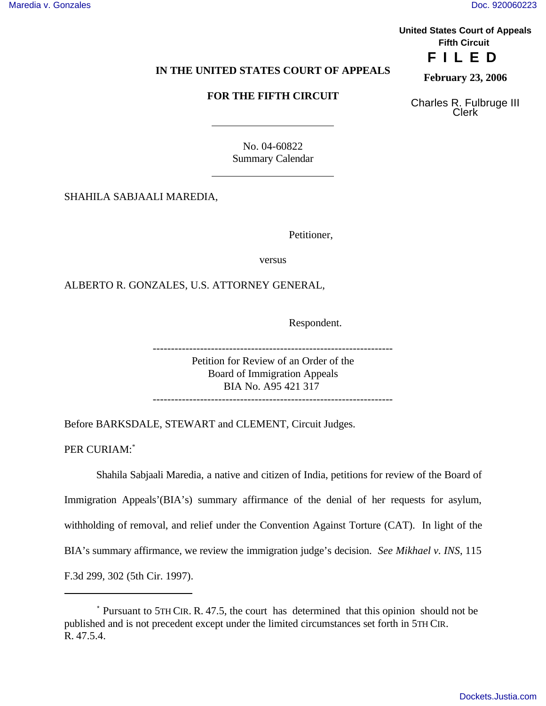**United States Court of Appeals Fifth Circuit FILED**

## **IN THE UNITED STATES COURT OF APPEALS**

## **FOR THE FIFTH CIRCUIT**

**February 23, 2006**

Charles R. Fulbruge III Clerk

No. 04-60822 Summary Calendar

SHAHILA SABJAALI MAREDIA,

Petitioner,

versus

ALBERTO R. GONZALES, U.S. ATTORNEY GENERAL,

 $\overline{a}$ 

 $\overline{a}$ 

Respondent.

------------------------------------------------------------------

Petition for Review of an Order of the Board of Immigration Appeals BIA No. A95 421 317 ------------------------------------------------------------------

Before BARKSDALE, STEWART and CLEMENT, Circuit Judges.

PER CURIAM:\*

Shahila Sabjaali Maredia, a native and citizen of India, petitions for review of the Board of Immigration Appeals'(BIA's) summary affirmance of the denial of her requests for asylum, withholding of removal, and relief under the Convention Against Torture (CAT). In light of the BIA's summary affirmance, we review the immigration judge's decision. *See Mikhael v. INS*, 115 F.3d 299, 302 (5th Cir. 1997).

<sup>\*</sup> Pursuant to 5TH CIR. R. 47.5, the court has determined that this opinion should not be published and is not precedent except under the limited circumstances set forth in 5TH CIR. R. 47.5.4.